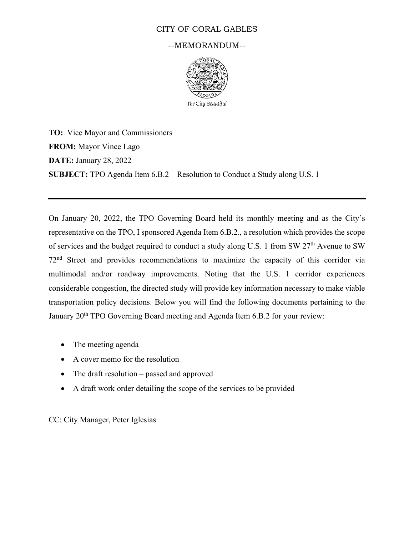## CITY OF CORAL GABLES

#### --MEMORANDUM--



**TO:** Vice Mayor and Commissioners **FROM:** Mayor Vince Lago **DATE:** January 28, 2022 **SUBJECT:** TPO Agenda Item 6.B.2 – Resolution to Conduct a Study along U.S. 1

On January 20, 2022, the TPO Governing Board held its monthly meeting and as the City's representative on the TPO, I sponsored Agenda Item 6.B.2., a resolution which provides the scope of services and the budget required to conduct a study along U.S. 1 from SW 27<sup>th</sup> Avenue to SW 72nd Street and provides recommendations to maximize the capacity of this corridor via multimodal and/or roadway improvements. Noting that the U.S. 1 corridor experiences considerable congestion, the directed study will provide key information necessary to make viable transportation policy decisions. Below you will find the following documents pertaining to the January 20<sup>th</sup> TPO Governing Board meeting and Agenda Item 6.B.2 for your review:

- The meeting agenda
- A cover memo for the resolution
- The draft resolution passed and approved
- A draft work order detailing the scope of the services to be provided

CC: City Manager, Peter Iglesias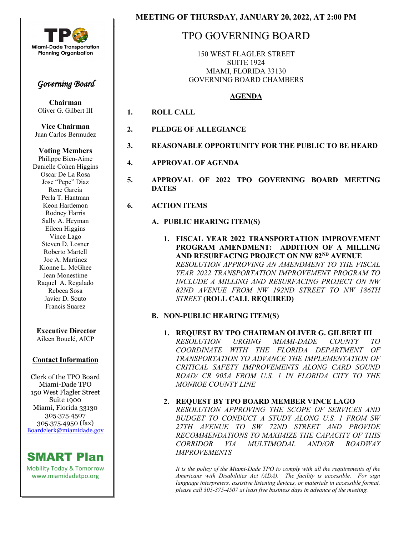

l.

I

## *Governing Board*

**Chairman** Oliver G. Gilbert III

**Vice Chairman** Juan Carlos Bermudez

#### **Voting Members**

Philippe Bien-Aime Danielle Cohen Higgins Oscar De La Rosa Jose "Pepe" Diaz Rene Garcia Perla T. Hantman Keon Hardemon Rodney Harris Sally A. Heyman Eileen Higgins Vince Lago Steven D. Losner Roberto Martell Joe A. Martinez Kionne L. McGhee Jean Monestime Raquel A. Regalado Rebeca Sosa Javier D. Souto Francis Suarez

# **Executive Director**

Aileen Bouclé, AICP

## **Contact Information**

Clerk of the TPO Board Miami-Dade TPO 150 West Flagler Street Suite 1900 Miami, Florida 33130 305.375.4507 305.375.4950 (fax) [Boardclerk@miamidade.gov](mailto:Boardclerk@miamidade.gov)

## SMART Plan

Mobility Today & Tomorrow www.miamidadetpo.org

# TPO GOVERNING BOARD

150 WEST FLAGLER STREET SUITE 1924 MIAMI, FLORIDA 33130 GOVERNING BOARD CHAMBERS

## **AGENDA**

- **1. ROLL CALL**
- **2. PLEDGE OF ALLEGIANCE**
- **3. REASONABLE OPPORTUNITY FOR THE PUBLIC TO BE HEARD**
- **4. APPROVAL OF AGENDA**
- **5. APPROVAL OF 2022 TPO GOVERNING BOARD MEETING DATES**
- **6. ACTION ITEMS**

## **A. PUBLIC HEARING ITEM(S)**

**1. FISCAL YEAR 2022 TRANSPORTATION IMPROVEMENT PROGRAM AMENDMENT: ADDITION OF A MILLING AND RESURFACING PROJECT ON NW 82ND AVENUE** *RESOLUTION APPROVING AN AMENDMENT TO THE FISCAL YEAR 2022 TRANSPORTATION IMPROVEMENT PROGRAM TO INCLUDE A MILLING AND RESURFACING PROJECT ON NW 82ND AVENUE FROM NW 192ND STREET TO NW 186TH STREET* **(ROLL CALL REQUIRED)**

## **B. NON-PUBLIC HEARING ITEM(S)**

**1. REQUEST BY TPO CHAIRMAN OLIVER G. GILBERT III** *RESOLUTION URGING MIAMI-DADE COUNTY TO COORDINATE WITH THE FLORIDA DEPARTMENT OF TRANSPORTATION TO ADVANCE THE IMPLEMENTATION OF CRITICAL SAFETY IMPROVEMENTS ALONG CARD SOUND ROAD/ CR 905A FROM U.S. 1 IN FLORIDA CITY TO THE MONROE COUNTY LINE* 

## **2. REQUEST BY TPO BOARD MEMBER VINCE LAGO**

*RESOLUTION APPROVING THE SCOPE OF SERVICES AND BUDGET TO CONDUCT A STUDY ALONG U.S. 1 FROM SW 27TH AVENUE TO SW 72ND STREET AND PROVIDE RECOMMENDATIONS TO MAXIMIZE THE CAPACITY OF THIS CORRIDOR VIA MULTIMODAL AND/OR ROADWAY IMPROVEMENTS* 

*It is the policy of the Miami-Dade TPO to comply with all the requirements of the Americans with Disabilities Act (ADA). The facility is accessible. For sign language interpreters, assistive listening devices, or materials in accessible format, please call 305-375-4507 at least five business days in advance of the meeting.*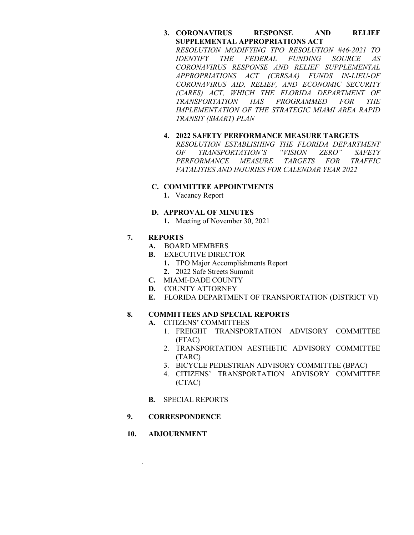#### **3. CORONAVIRUS RESPONSE AND RELIEF SUPPLEMENTAL APPROPRIATIONS ACT**

*RESOLUTION MODIFYING TPO RESOLUTION #46-2021 TO IDENTIFY THE FEDERAL FUNDING SOURCE AS CORONAVIRUS RESPONSE AND RELIEF SUPPLEMENTAL APPROPRIATIONS ACT (CRRSAA) FUNDS IN-LIEU-OF CORONAVIRUS AID, RELIEF, AND ECONOMIC SECURITY (CARES) ACT, WHICH THE FLORIDA DEPARTMENT OF TRANSPORTATION HAS PROGRAMMED FOR THE IMPLEMENTATION OF THE STRATEGIC MIAMI AREA RAPID TRANSIT (SMART) PLAN*

#### **4. 2022 SAFETY PERFORMANCE MEASURE TARGETS** *RESOLUTION ESTABLISHING THE FLORIDA DEPARTMENT OF TRANSPORTATION'S "VISION ZERO" SAFETY PERFORMANCE MEASURE TARGETS FOR TRAFFIC FATALITIES AND INJURIES FOR CALENDAR YEAR 2022*

#### **C. COMMITTEE APPOINTMENTS**

**1.** Vacancy Report

#### **D. APPROVAL OF MINUTES**

**1.** Meeting of November 30, 2021

#### **7. REPORTS**

- **A.** BOARD MEMBERS
- **B.** EXECUTIVE DIRECTOR
	- **1.** TPO Major Accomplishments Report
	- **2.** 2022 Safe Streets Summit
- **C.** MIAMI-DADE COUNTY
- **D.** COUNTY ATTORNEY
- **E.** FLORIDA DEPARTMENT OF TRANSPORTATION (DISTRICT VI)

## **8. COMMITTEES AND SPECIAL REPORTS**

- **A.** CITIZENS' COMMITTEES
	- 1. FREIGHT TRANSPORTATION ADVISORY COMMITTEE (FTAC)
	- 2. TRANSPORTATION AESTHETIC ADVISORY COMMITTEE (TARC)
	- 3. BICYCLE PEDESTRIAN ADVISORY COMMITTEE (BPAC)
	- 4. CITIZENS' TRANSPORTATION ADVISORY COMMITTEE (CTAC)
- **B.** SPECIAL REPORTS
- **9. CORRESPONDENCE**
- **10. ADJOURNMENT**

*.*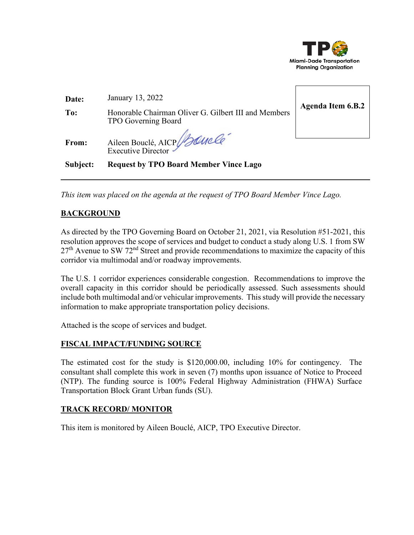

| Date:    | January 13, 2022                                                            |                          |
|----------|-----------------------------------------------------------------------------|--------------------------|
| To:      | Honorable Chairman Oliver G. Gilbert III and Members<br>TPO Governing Board | <b>Agenda Item 6.B.2</b> |
| From:    | Aileen Bouclé, AICP Boucle                                                  |                          |
| Subject: | <b>Request by TPO Board Member Vince Lago</b>                               |                          |

*This item was placed on the agenda at the request of TPO Board Member Vince Lago.* 

## **BACKGROUND**

As directed by the TPO Governing Board on October 21, 2021, via Resolution #51-2021, this resolution approves the scope of services and budget to conduct a study along U.S. 1 from SW  $27<sup>th</sup>$  Avenue to SW 72<sup>nd</sup> Street and provide recommendations to maximize the capacity of this corridor via multimodal and/or roadway improvements.

The U.S. 1 corridor experiences considerable congestion. Recommendations to improve the overall capacity in this corridor should be periodically assessed. Such assessments should include both multimodal and/or vehicular improvements. This study will provide the necessary information to make appropriate transportation policy decisions.

Attached is the scope of services and budget.

## **FISCAL IMPACT/FUNDING SOURCE**

The estimated cost for the study is \$120,000.00, including 10% for contingency. The consultant shall complete this work in seven (7) months upon issuance of Notice to Proceed (NTP). The funding source is 100% Federal Highway Administration (FHWA) Surface Transportation Block Grant Urban funds (SU).

## **TRACK RECORD/ MONITOR**

This item is monitored by Aileen Bouclé, AICP, TPO Executive Director.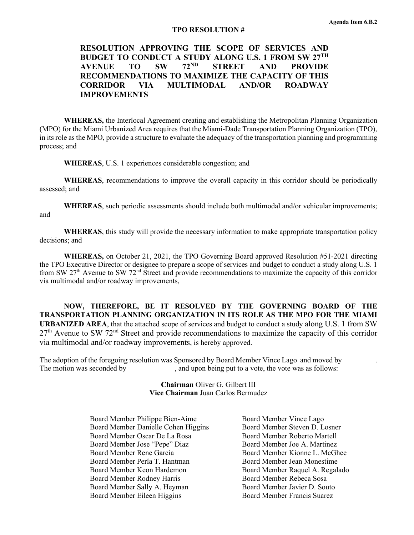#### **TPO RESOLUTION #**

## **RESOLUTION APPROVING THE SCOPE OF SERVICES AND BUDGET TO CONDUCT A STUDY ALONG U.S. 1 FROM SW 27<sup>TH</sup><br>AVENIJE TO SW 72<sup>ND</sup> STREET AND PROVIDE AVENUE TO SW 72ND STREET AND PROVIDE RECOMMENDATIONS TO MAXIMIZE THE CAPACITY OF THIS CORRIDOR VIA MULTIMODAL AND/OR ROADWAY IMPROVEMENTS**

**WHEREAS,** the Interlocal Agreement creating and establishing the Metropolitan Planning Organization (MPO) for the Miami Urbanized Area requires that the Miami-Dade Transportation Planning Organization (TPO), in its role as the MPO, provide a structure to evaluate the adequacy of the transportation planning and programming process; and

**WHEREAS**, U.S. 1 experiences considerable congestion; and

**WHEREAS**, recommendations to improve the overall capacity in this corridor should be periodically assessed; and

**WHEREAS**, such periodic assessments should include both multimodal and/or vehicular improvements; and

**WHEREAS**, this study will provide the necessary information to make appropriate transportation policy decisions; and

**WHEREAS,** on October 21, 2021, the TPO Governing Board approved Resolution #51-2021 directing the TPO Executive Director or designee to prepare a scope of services and budget to conduct a study along U.S. 1 from SW 27th Avenue to SW 72nd Street and provide recommendations to maximize the capacity of this corridor via multimodal and/or roadway improvements,

**NOW, THEREFORE, BE IT RESOLVED BY THE GOVERNING BOARD OF THE TRANSPORTATION PLANNING ORGANIZATION IN ITS ROLE AS THE MPO FOR THE MIAMI URBANIZED AREA**, that the attached scope of services and budget to conduct a study along U.S. 1 from SW  $27<sup>th</sup>$  Avenue to SW 72<sup>nd</sup> Street and provide recommendations to maximize the capacity of this corridor via multimodal and/or roadway improvements, is hereby approved.

The adoption of the foregoing resolution was Sponsored by Board Member Vince Lago and moved by . The motion was seconded by , and upon being put to a vote, the vote was as follows:

> **Chairman** Oliver G. Gilbert III **Vice Chairman** Juan Carlos Bermudez

 Board Member Philippe Bien-Aime Board Member Danielle Cohen Higgins Board Member Oscar De La Rosa Board Member Jose "Pepe" Diaz Board Member Rene Garcia Board Member Perla T. Hantman Board Member Keon Hardemon Board Member Rodney Harris Board Member Sally A. Heyman Board Member Eileen Higgins

Board Member Vince Lago Board Member Steven D. Losner Board Member Roberto Martell Board Member Joe A. Martinez Board Member Kionne L. McGhee Board Member Jean Monestime Board Member Raquel A. Regalado Board Member Rebeca Sosa Board Member Javier D. Souto Board Member Francis Suarez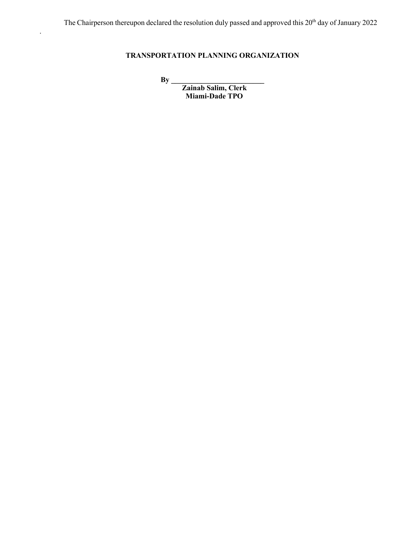## **TRANSPORTATION PLANNING ORGANIZATION**

**By \_\_\_\_\_\_\_\_\_\_\_\_\_\_\_\_\_\_\_\_\_\_\_\_\_** 

.

 **Zainab Salim, Clerk Miami-Dade TPO**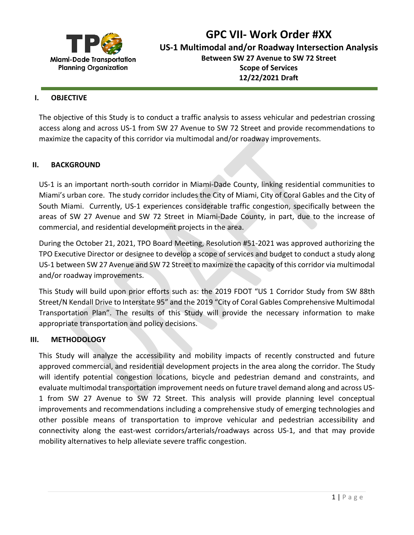

**GPC VII- Work Order #XX**

**US-1 Multimodal and/or Roadway Intersection Analysis**

**Between SW 27 Avenue to SW 72 Street Scope of Services 12/22/2021 Draft** 

#### **I. OBJECTIVE**

The objective of this Study is to conduct a traffic analysis to assess vehicular and pedestrian crossing access along and across US-1 from SW 27 Avenue to SW 72 Street and provide recommendations to maximize the capacity of this corridor via multimodal and/or roadway improvements.

## **II. BACKGROUND**

US-1 is an important north-south corridor in Miami-Dade County, linking residential communities to Miami's urban core. The study corridor includes the City of Miami, City of Coral Gables and the City of South Miami. Currently, US-1 experiences considerable traffic congestion, specifically between the areas of SW 27 Avenue and SW 72 Street in Miami-Dade County, in part, due to the increase of commercial, and residential development projects in the area.

During the October 21, 2021, TPO Board Meeting, Resolution #51-2021 was approved authorizing the TPO Executive Director or designee to develop a scope of services and budget to conduct a study along US-1 between SW 27 Avenue and SW 72 Street to maximize the capacity of this corridor via multimodal and/or roadway improvements.

This Study will build upon prior efforts such as: the 2019 FDOT "US 1 Corridor Study from SW 88th Street/N Kendall Drive to Interstate 95" and the 2019 "City of Coral Gables Comprehensive Multimodal Transportation Plan". The results of this Study will provide the necessary information to make appropriate transportation and policy decisions.

## **III. METHODOLOGY**

This Study will analyze the accessibility and mobility impacts of recently constructed and future approved commercial, and residential development projects in the area along the corridor. The Study will identify potential congestion locations, bicycle and pedestrian demand and constraints, and evaluate multimodal transportation improvement needs on future travel demand along and across US-1 from SW 27 Avenue to SW 72 Street. This analysis will provide planning level conceptual improvements and recommendations including a comprehensive study of emerging technologies and other possible means of transportation to improve vehicular and pedestrian accessibility and connectivity along the east-west corridors/arterials/roadways across US-1, and that may provide mobility alternatives to help alleviate severe traffic congestion.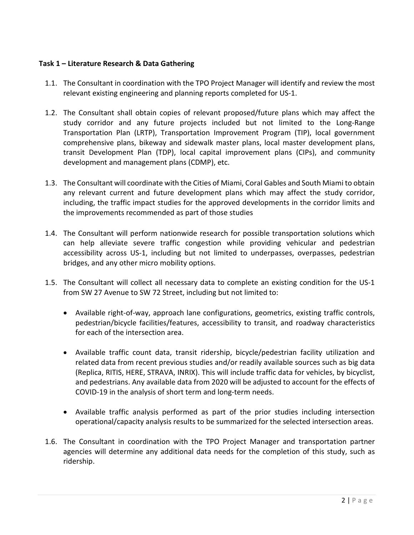## **Task 1 – Literature Research & Data Gathering**

- 1.1. The Consultant in coordination with the TPO Project Manager will identify and review the most relevant existing engineering and planning reports completed for US-1.
- 1.2. The Consultant shall obtain copies of relevant proposed/future plans which may affect the study corridor and any future projects included but not limited to the Long-Range Transportation Plan (LRTP), Transportation Improvement Program (TIP), local government comprehensive plans, bikeway and sidewalk master plans, local master development plans, transit Development Plan (TDP), local capital improvement plans (CIPs), and community development and management plans (CDMP), etc.
- 1.3. The Consultant will coordinate with the Cities of Miami, Coral Gables and South Miami to obtain any relevant current and future development plans which may affect the study corridor, including, the traffic impact studies for the approved developments in the corridor limits and the improvements recommended as part of those studies
- 1.4. The Consultant will perform nationwide research for possible transportation solutions which can help alleviate severe traffic congestion while providing vehicular and pedestrian accessibility across US-1, including but not limited to underpasses, overpasses, pedestrian bridges, and any other micro mobility options.
- 1.5. The Consultant will collect all necessary data to complete an existing condition for the US-1 from SW 27 Avenue to SW 72 Street, including but not limited to:
	- Available right-of-way, approach lane configurations, geometrics, existing traffic controls, pedestrian/bicycle facilities/features, accessibility to transit, and roadway characteristics for each of the intersection area.
	- Available traffic count data, transit ridership, bicycle/pedestrian facility utilization and related data from recent previous studies and/or readily available sources such as big data (Replica, RITIS, HERE, STRAVA, INRIX). This will include traffic data for vehicles, by bicyclist, and pedestrians. Any available data from 2020 will be adjusted to account for the effects of COVID-19 in the analysis of short term and long-term needs.
	- Available traffic analysis performed as part of the prior studies including intersection operational/capacity analysis results to be summarized for the selected intersection areas.
- 1.6. The Consultant in coordination with the TPO Project Manager and transportation partner agencies will determine any additional data needs for the completion of this study, such as ridership.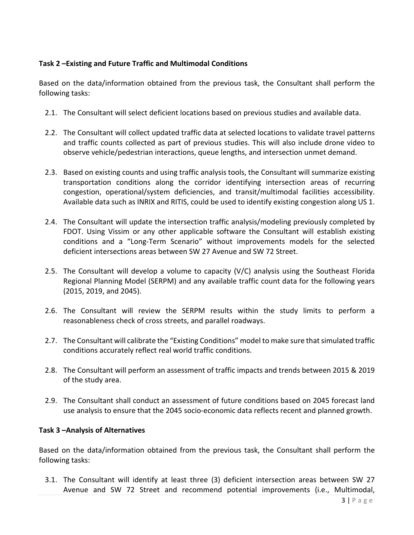## **Task 2 –Existing and Future Traffic and Multimodal Conditions**

Based on the data/information obtained from the previous task, the Consultant shall perform the following tasks:

- 2.1. The Consultant will select deficient locations based on previous studies and available data.
- 2.2. The Consultant will collect updated traffic data at selected locations to validate travel patterns and traffic counts collected as part of previous studies. This will also include drone video to observe vehicle/pedestrian interactions, queue lengths, and intersection unmet demand.
- 2.3. Based on existing counts and using traffic analysis tools, the Consultant will summarize existing transportation conditions along the corridor identifying intersection areas of recurring congestion, operational/system deficiencies, and transit/multimodal facilities accessibility. Available data such as INRIX and RITIS, could be used to identify existing congestion along US 1.
- 2.4. The Consultant will update the intersection traffic analysis/modeling previously completed by FDOT. Using Vissim or any other applicable software the Consultant will establish existing conditions and a "Long-Term Scenario" without improvements models for the selected deficient intersections areas between SW 27 Avenue and SW 72 Street.
- 2.5. The Consultant will develop a volume to capacity (V/C) analysis using the Southeast Florida Regional Planning Model (SERPM) and any available traffic count data for the following years (2015, 2019, and 2045).
- 2.6. The Consultant will review the SERPM results within the study limits to perform a reasonableness check of cross streets, and parallel roadways.
- 2.7. The Consultant will calibrate the "Existing Conditions" model to make sure that simulated traffic conditions accurately reflect real world traffic conditions.
- 2.8. The Consultant will perform an assessment of traffic impacts and trends between 2015 & 2019 of the study area.
- 2.9. The Consultant shall conduct an assessment of future conditions based on 2045 forecast land use analysis to ensure that the 2045 socio-economic data reflects recent and planned growth.

## **Task 3 –Analysis of Alternatives**

Based on the data/information obtained from the previous task, the Consultant shall perform the following tasks:

3.1. The Consultant will identify at least three (3) deficient intersection areas between SW 27 Avenue and SW 72 Street and recommend potential improvements (i.e., Multimodal,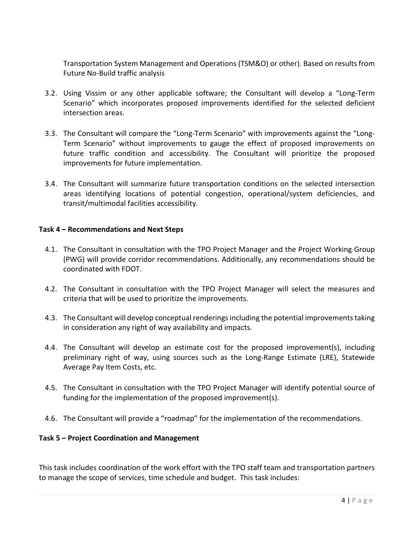Transportation System Management and Operations (TSM&O) or other). Based on results from Future No-Build traffic analysis

- 3.2. Using Vissim or any other applicable software; the Consultant will develop a "Long-Term Scenario" which incorporates proposed improvements identified for the selected deficient intersection areas.
- 3.3. The Consultant will compare the "Long-Term Scenario" with improvements against the "Long-Term Scenario" without improvements to gauge the effect of proposed improvements on future traffic condition and accessibility. The Consultant will prioritize the proposed improvements for future implementation.
- 3.4. The Consultant will summarize future transportation conditions on the selected intersection areas identifying locations of potential congestion, operational/system deficiencies, and transit/multimodal facilities accessibility.

## **Task 4 – Recommendations and Next Steps**

- 4.1. The Consultant in consultation with the TPO Project Manager and the Project Working Group (PWG) will provide corridor recommendations. Additionally, any recommendations should be coordinated with FDOT.
- 4.2. The Consultant in consultation with the TPO Project Manager will select the measures and criteria that will be used to prioritize the improvements.
- 4.3. The Consultant will develop conceptual renderings including the potential improvementstaking in consideration any right of way availability and impacts.
- 4.4. The Consultant will develop an estimate cost for the proposed improvement(s), including preliminary right of way, using sources such as the Long-Range Estimate (LRE), Statewide Average Pay Item Costs, etc.
- 4.5. The Consultant in consultation with the TPO Project Manager will identify potential source of funding for the implementation of the proposed improvement(s).
- 4.6. The Consultant will provide a "roadmap" for the implementation of the recommendations.

## **Task 5 – Project Coordination and Management**

This task includes coordination of the work effort with the TPO staff team and transportation partners to manage the scope of services, time schedule and budget. This task includes: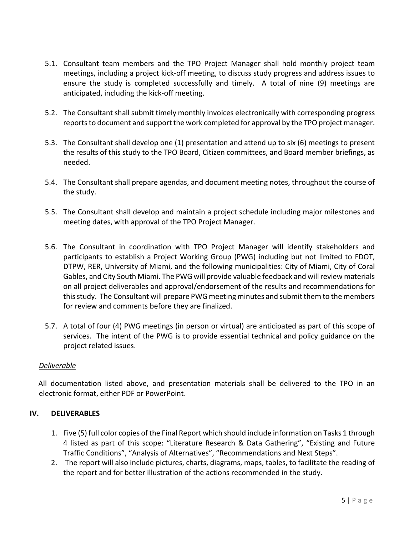- 5.1. Consultant team members and the TPO Project Manager shall hold monthly project team meetings, including a project kick-off meeting, to discuss study progress and address issues to ensure the study is completed successfully and timely. A total of nine (9) meetings are anticipated, including the kick-off meeting.
- 5.2. The Consultant shall submit timely monthly invoices electronically with corresponding progress reports to document and support the work completed for approval by the TPO project manager.
- 5.3. The Consultant shall develop one (1) presentation and attend up to six (6) meetings to present the results of this study to the TPO Board, Citizen committees, and Board member briefings, as needed.
- 5.4. The Consultant shall prepare agendas, and document meeting notes, throughout the course of the study.
- 5.5. The Consultant shall develop and maintain a project schedule including major milestones and meeting dates, with approval of the TPO Project Manager.
- 5.6. The Consultant in coordination with TPO Project Manager will identify stakeholders and participants to establish a Project Working Group (PWG) including but not limited to FDOT, DTPW, RER, University of Miami, and the following municipalities: City of Miami, City of Coral Gables, and City South Miami. The PWG will provide valuable feedback and will review materials on all project deliverables and approval/endorsement of the results and recommendations for this study. The Consultant will prepare PWG meeting minutes and submit them to the members for review and comments before they are finalized.
- 5.7. A total of four (4) PWG meetings (in person or virtual) are anticipated as part of this scope of services. The intent of the PWG is to provide essential technical and policy guidance on the project related issues.

## *Deliverable*

All documentation listed above, and presentation materials shall be delivered to the TPO in an electronic format, either PDF or PowerPoint.

## **IV. DELIVERABLES**

- 1. Five (5) full color copies of the Final Report which should include information on Tasks 1 through 4 listed as part of this scope: "Literature Research & Data Gathering", "Existing and Future Traffic Conditions", "Analysis of Alternatives", "Recommendations and Next Steps".
- 2. The report will also include pictures, charts, diagrams, maps, tables, to facilitate the reading of the report and for better illustration of the actions recommended in the study.